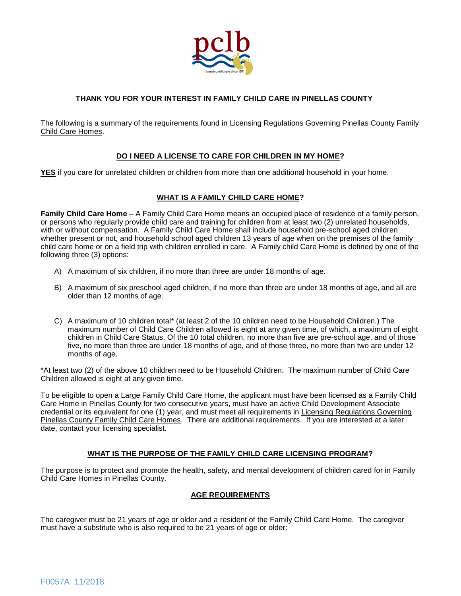

# **THANK YOU FOR YOUR INTEREST IN FAMILY CHILD CARE IN PINELLAS COUNTY**

The following is a summary of the requirements found in Licensing Regulations Governing Pinellas County Family Child Care Homes.

## **DO I NEED A LICENSE TO CARE FOR CHILDREN IN MY HOME?**

**YES** if you care for unrelated children or children from more than one additional household in your home.

## **WHAT IS A FAMILY CHILD CARE HOME?**

**Family Child Care Home** – A Family Child Care Home means an occupied place of residence of a family person, or persons who regularly provide child care and training for children from at least two (2) unrelated households, with or without compensation. A Family Child Care Home shall include household pre-school aged children whether present or not, and household school aged children 13 years of age when on the premises of the family child care home or on a field trip with children enrolled in care. A Family child Care Home is defined by one of the following three (3) options:

- A) A maximum of six children, if no more than three are under 18 months of age.
- B) A maximum of six preschool aged children, if no more than three are under 18 months of age, and all are older than 12 months of age.
- C) A maximum of 10 children total\* (at least 2 of the 10 children need to be Household Children.) The maximum number of Child Care Children allowed is eight at any given time, of which, a maximum of eight children in Child Care Status. Of the 10 total children, no more than five are pre-school age, and of those five, no more than three are under 18 months of age, and of those three, no more than two are under 12 months of age.

\*At least two (2) of the above 10 children need to be Household Children. The maximum number of Child Care Children allowed is eight at any given time.

To be eligible to open a Large Family Child Care Home, the applicant must have been licensed as a Family Child Care Home in Pinellas County for two consecutive years, must have an active Child Development Associate credential or its equivalent for one (1) year, and must meet all requirements in Licensing Regulations Governing Pinellas County Family Child Care Homes. There are additional requirements. If you are interested at a later date, contact your licensing specialist.

## **WHAT IS THE PURPOSE OF THE FAMILY CHILD CARE LICENSING PROGRAM?**

The purpose is to protect and promote the health, safety, and mental development of children cared for in Family Child Care Homes in Pinellas County.

## **AGE REQUIREMENTS**

The caregiver must be 21 years of age or older and a resident of the Family Child Care Home. The caregiver must have a substitute who is also required to be 21 years of age or older: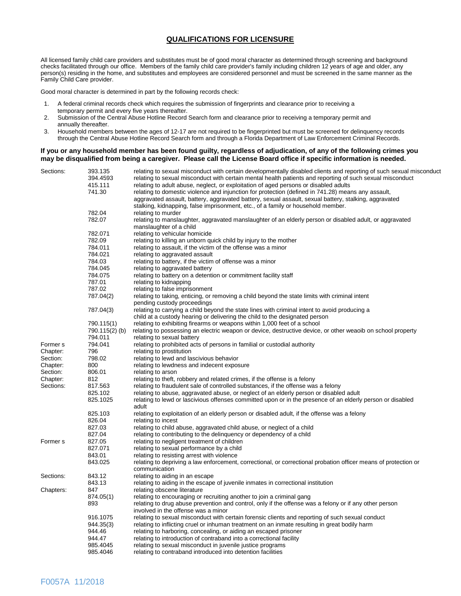## **QUALIFICATIONS FOR LICENSURE**

All licensed family child care providers and substitutes must be of good moral character as determined through screening and background checks facilitated through our office. Members of the family child care provider's family including children 12 years of age and older, any person(s) residing in the home, and substitutes and employees are considered personnel and must be screened in the same manner as the Family Child Care provider.

Good moral character is determined in part by the following records check:

- 1. A federal criminal records check which requires the submission of fingerprints and clearance prior to receiving a temporary permit and every five years thereafter.<br>2. Submission of the Central Abuse Hotline Record
- 2. Submission of the Central Abuse Hotline Record Search form and clearance prior to receiving a temporary permit and annually thereafter.
- 3. Household members between the ages of 12-17 are not required to be fingerprinted but must be screened for delinquency records through the Central Abuse Hotline Record Search form and through a Florida Department of Law Enforcement Criminal Records.

#### **If you or any household member has been found guilty, regardless of adjudication, of any of the following crimes you may be disqualified from being a caregiver. Please call the License Board office if specific information is needed.**

| Sections:           | 393.135       | relating to sexual misconduct with certain developmentally disabled clients and reporting of such sexual misconduct |
|---------------------|---------------|---------------------------------------------------------------------------------------------------------------------|
|                     | 394.4593      | relating to sexual misconduct with certain mental health patients and reporting of such sexual misconduct           |
|                     | 415.111       | relating to adult abuse, neglect, or exploitation of aged persons or disabled adults                                |
|                     | 741.30        | relating to domestic violence and injunction for protection (defined in 741.28) means any assault,                  |
|                     |               | aggravated assault, battery, aggravated battery, sexual assault, sexual battery, stalking, aggravated               |
|                     |               | stalking, kidnapping, false imprisonment, etc., of a family or household member.                                    |
|                     | 782.04        | relating to murder                                                                                                  |
|                     | 782.07        | relating to manslaughter, aggravated manslaughter of an elderly person or disabled adult, or aggravated             |
|                     |               | manslaughter of a child                                                                                             |
|                     | 782.071       | relating to vehicular homicide                                                                                      |
|                     | 782.09        |                                                                                                                     |
|                     | 784.011       | relating to killing an unborn quick child by injury to the mother                                                   |
|                     | 784.021       | relating to assault, if the victim of the offense was a minor                                                       |
|                     | 784.03        | relating to aggravated assault                                                                                      |
|                     |               | relating to battery, if the victim of offense was a minor                                                           |
|                     | 784.045       | relating to aggravated battery                                                                                      |
|                     | 784.075       | relating to battery on a detention or commitment facility staff                                                     |
|                     | 787.01        | relating to kidnapping                                                                                              |
|                     | 787.02        | relating to false imprisonment                                                                                      |
|                     | 787.04(2)     | relating to taking, enticing, or removing a child beyond the state limits with criminal intent                      |
|                     |               | pending custody proceedings                                                                                         |
|                     | 787.04(3)     | relating to carrying a child beyond the state lines with criminal intent to avoid producing a                       |
|                     |               | child at a custody hearing or delivering the child to the designated person                                         |
|                     | 790.115(1)    | relating to exhibiting firearms or weapons within 1,000 feet of a school                                            |
|                     | 790.115(2)(b) | relating to possessing an electric weapon or device, destructive device, or other weapib on school property         |
|                     | 794.011       | relating to sexual battery                                                                                          |
| Former <sub>s</sub> | 794.041       | relating to prohibited acts of persons in familial or custodial authority                                           |
| Chapter:            | 796           | relating to prostitution                                                                                            |
| Section:            | 798.02        | relating to lewd and lascivious behavior                                                                            |
| Chapter:            | 800           | relating to lewdness and indecent exposure                                                                          |
| Section:            | 806.01        | relating to arson                                                                                                   |
| Chapter:            | 812           | relating to theft, robbery and related crimes, if the offense is a felony                                           |
| Sections:           | 817.563       | relating to fraudulent sale of controlled substances, if the offense was a felony                                   |
|                     | 825.102       | relating to abuse, aggravated abuse, or neglect of an elderly person or disabled adult                              |
|                     | 825.1025      | relating to lewd or lascivious offenses committed upon or in the presence of an elderly person or disabled          |
|                     |               | adult                                                                                                               |
|                     | 825.103       | relating to exploitation of an elderly person or disabled adult, if the offense was a felony                        |
|                     | 826.04        | relating to incest                                                                                                  |
|                     | 827.03        | relating to child abuse, aggravated child abuse, or neglect of a child                                              |
|                     | 827.04        | relating to contributing to the delinquency or dependency of a child                                                |
| Former s            | 827.05        | relating to negligent treatment of children                                                                         |
|                     | 827.071       | relating to sexual performance by a child                                                                           |
|                     | 843.01        | relating to resisting arrest with violence                                                                          |
|                     | 843.025       | relating to depriving a law enforcement, correctional, or correctional probation officer means of protection or     |
|                     |               | communication                                                                                                       |
| Sections:           | 843.12        |                                                                                                                     |
|                     | 843.13        | relating to aiding in an escape                                                                                     |
|                     |               | relating to aiding in the escape of juvenile inmates in correctional institution                                    |
| Chapters:           | 847           | relating obscene literature                                                                                         |
|                     | 874.05(1)     | relating to encouraging or recruiting another to join a criminal gang                                               |
|                     | 893           | relating to drug abuse prevention and control, only if the offense was a felony or if any other person              |
|                     |               | involved in the offense was a minor                                                                                 |
|                     | 916.1075      | relating to sexual misconduct with certain forensic clients and reporting of such sexual conduct                    |
|                     | 944.35(3)     | relating to inflicting cruel or inhuman treatment on an inmate resulting in great bodily harm                       |
|                     | 944.46        | relating to harboring, concealing, or aiding an escaped prisoner                                                    |
|                     | 944.47        | relating to introduction of contraband into a correctional facility                                                 |
|                     | 985.4045      | relating to sexual misconduct in juvenile justice programs                                                          |
|                     | 985.4046      | relating to contraband introduced into detention facilities                                                         |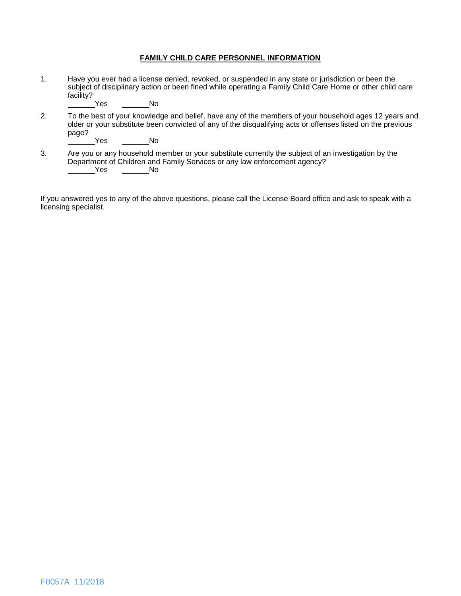### **FAMILY CHILD CARE PERSONNEL INFORMATION**

1. Have you ever had a license denied, revoked, or suspended in any state or jurisdiction or been the subject of disciplinary action or been fined while operating a Family Child Care Home or other child care facility?<br>Yes

Yes No

2. To the best of your knowledge and belief, have any of the members of your household ages 12 years and older or your substitute been convicted of any of the disqualifying acts or offenses listed on the previous page?

Yes No

3. Are you or any household member or your substitute currently the subject of an investigation by the Department of Children and Family Services or any law enforcement agency? Yes No

If you answered yes to any of the above questions, please call the License Board office and ask to speak with a licensing specialist.